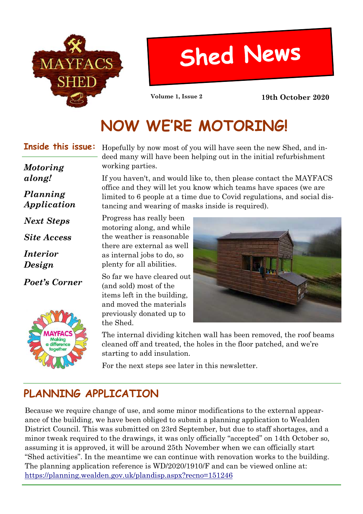

# **Shed News**

**Volume 1, Issue 2 19th October 2020**

# **NOW WE'RE MOTORING!**

#### **Inside this issue:**

*Planning Application*

*Motoring along!*

*Next Steps*

*Site Access*

*Poet's Corner*

Makina difference

*Interior Design*

Hopefully by now most of you will have seen the new Shed, and indeed many will have been helping out in the initial refurbishment working parties.

If you haven't, and would like to, then please contact the MAYFACS office and they will let you know which teams have spaces (we are limited to 6 people at a time due to Covid regulations, and social distancing and wearing of masks inside is required).

Progress has really been motoring along, and while the weather is reasonable there are external as well as internal jobs to do, so plenty for all abilities.

So far we have cleared out (and sold) most of the items left in the building, and moved the materials previously donated up to the Shed.



The internal dividing kitchen wall has been removed, the roof beams cleaned off and treated, the holes in the floor patched, and we're starting to add insulation.

For the next steps see later in this newsletter.

# **PLANNING APPLICATION**

Because we require change of use, and some minor modifications to the external appearance of the building, we have been obliged to submit a planning application to Wealden District Council. This was submitted on 23rd September, but due to staff shortages, and a minor tweak required to the drawings, it was only officially "accepted" on 14th October so, assuming it is approved, it will be around 25th November when we can officially start "Shed activities". In the meantime we can continue with renovation works to the building. The planning application reference is WD/2020/1910/F and can be viewed online at: https://planning.wealden.gov.uk/plandisp.aspx?recno=151246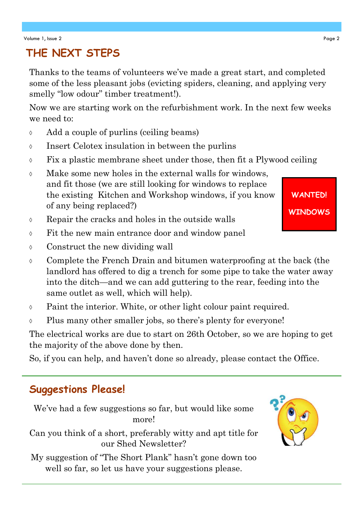## **THE NEXT STEPS**

Thanks to the teams of volunteers we've made a great start, and completed some of the less pleasant jobs (evicting spiders, cleaning, and applying very smelly "low odour" timber treatment!).

Now we are starting work on the refurbishment work. In the next few weeks we need to:

- Add a couple of purlins (ceiling beams)
- Insert Celotex insulation in between the purlins
- $\Diamond$  Fix a plastic membrane sheet under those, then fit a Plywood ceiling
- $\lozenge$  Make some new holes in the external walls for windows, and fit those (we are still looking for windows to replace the existing Kitchen and Workshop windows, if you know of any being replaced?)
- Repair the cracks and holes in the outside walls
- Fit the new main entrance door and window panel
- Construct the new dividing wall
- Complete the French Drain and bitumen waterproofing at the back (the landlord has offered to dig a trench for some pipe to take the water away into the ditch—and we can add guttering to the rear, feeding into the same outlet as well, which will help).
- Paint the interior. White, or other light colour paint required.
- Plus many other smaller jobs, so there's plenty for everyone!

The electrical works are due to start on 26th October, so we are hoping to get the majority of the above done by then.

So, if you can help, and haven't done so already, please contact the Office.

### **Suggestions Please!**

We've had a few suggestions so far, but would like some more!

Can you think of a short, preferably witty and apt title for our Shed Newsletter?

My suggestion of "The Short Plank" hasn't gone down too well so far, so let us have your suggestions please.



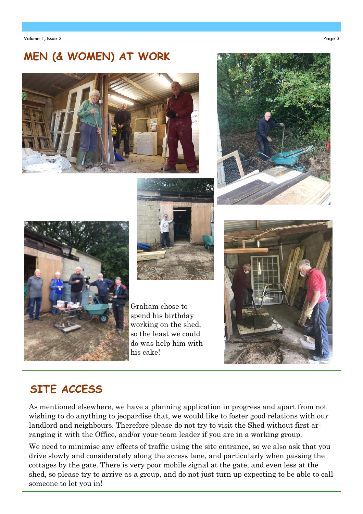#### **MEN (& WOMEN) AT WORK**









Graham chose to spend his birthday working on the shed, so the least we could do was help him with his cake!



#### **SITE ACCESS**

As mentioned elsewhere, we have a planning application in progress and apart from not wishing to do anything to jeopardise that, we would like to foster good relations with our landlord and neighbours. Therefore please do not try to visit the Shed without first arranging it with the Office, and/or your team leader if you are in a working group.

We need to minimise any effects of traffic using the site entrance, so we also ask that you drive slowly and considerately along the access lane, and particularly when passing the cottages by the gate. There is very poor mobile signal at the gate, and even less at the shed, so please try to arrive as a group, and do not just turn up expecting to be able to call someone to let you in!